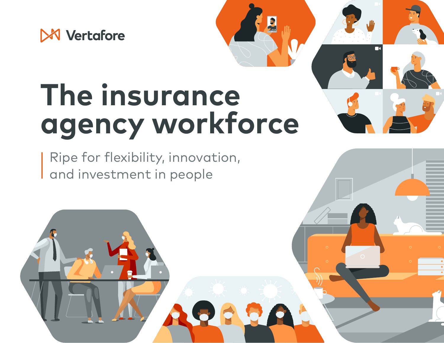<span id="page-0-0"></span>

# **The insurance agency workforce**

Ripe for flexibility, innovation, and investment in people

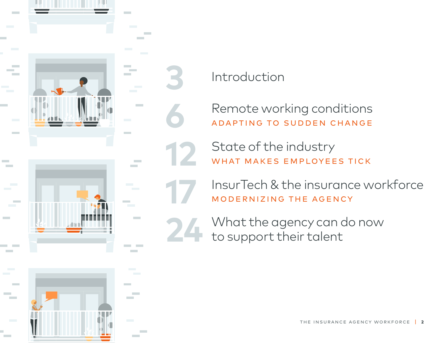

**[3](#page-2-0)** [Introduction](#page-2-0)

**[6](#page-5-0)** [Remote working conditions](#page-5-0) [Adapting to sudden change](#page-5-0)

**[12](#page-11-0)** [State of the industry](#page-11-0) WHAT MAKES EMPLOYEES TICK

[InsurTech & the insurance workforce](#page-16-0) [Modernizing the Agency](#page-16-0)

[24](#page-23-0) What the agency can do now<br>to support their talent [to support their talent](#page-23-0)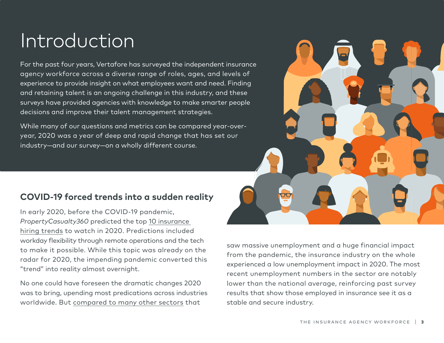## <span id="page-2-0"></span>Introduction

For the past four years, Vertafore has surveyed the independent insurance agency workforce across a diverse range of roles, ages, and levels of experience to provide insight on what employees want and need. Finding and retaining talent is an ongoing challenge in this industry, and these surveys have provided agencies with knowledge to make smarter people decisions and improve their talent management strategies.

While many of our questions and metrics can be compared year-overyear, 2020 was a year of deep and rapid change that has set our industry—and our survey—on a wholly different course.

## **COVID-19 forced trends into a sudden reality**

In early 2020, before the COVID-19 pandemic, *PropertyCasualty360* [predicted the top 10 insurance](https://www.propertycasualty360.com/2020/02/17/the-insurance-hiring-trends-shaping-2020/)  [hiring trends to watch in 2020.](https://www.propertycasualty360.com/2020/02/17/the-insurance-hiring-trends-shaping-2020/) Predictions included workday flexibility through remote operations and the tech to make it possible. While this topic was already on the radar for 2020, the impending pandemic converted this "trend" into reality almost overnight.

No one could have foreseen the dramatic changes 2020 was to bring, upending most predications across industries worldwide. But [compared to many other sectors](https://www.bls.gov/ces/) that

saw massive unemployment and a huge financial impact from the pandemic, the insurance industry on the whole experienced a low unemployment impact in 2020. The most recent unemployment numbers in the sector are notably lower than the national average, reinforcing past survey results that show those employed in insurance see it as a stable and secure industry.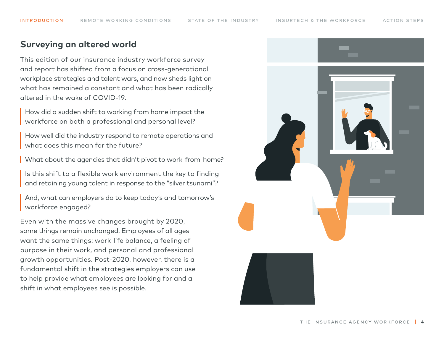### **Surveying an altered world**

This edition of our insurance industry workforce survey and report has shifted from a focus on cross-generational workplace strategies and talent wars, and now sheds light on what has remained a constant and what has been radically altered in the wake of COVID-19.

How did a sudden shift to working from home impact the workforce on both a professional and personal level?

How well did the industry respond to remote operations and what does this mean for the future?

What about the agencies that didn't pivot to work-from-home?

Is this shift to a flexible work environment the key to finding and retaining young talent in response to the "silver tsunami"?

And, what can employers do to keep today's and tomorrow's workforce engaged?

Even with the massive changes brought by 2020, some things remain unchanged. Employees of all ages want the same things: work-life balance, a feeling of purpose in their work, and personal and professional growth opportunities. Post-2020, however, there is a fundamental shift in the strategies employers can use to help provide what employees are looking for and a shift in what employees see is possible.

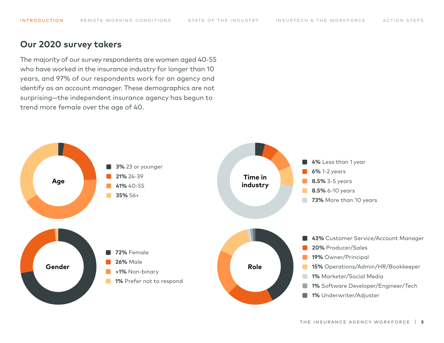INTRODUCTION REMOTE WORKING CONDITIONS STATE OF THE INDUSTRY INSURTECH & THE WORKFORCE ACTION STEPS

#### **Our 2020 survey takers**

The majority of our survey respondents are women aged 40-55 who have worked in the insurance industry for longer than 10 years, and 97% of our respondents work for an agency and identify as an account manager. These demographics are not surprising—the independent insurance agency has begun to trend more female over the age of 40.

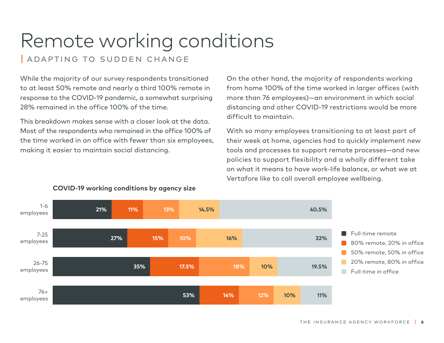## <span id="page-5-0"></span>Remote working conditions

| Adapting to sudden change

While the majority of our survey respondents transitioned to at least 50% remote and nearly a third 100% remote in response to the COVID-19 pandemic, a somewhat surprising 28% remained in the office 100% of the time.

This breakdown makes sense with a closer look at the data. Most of the respondents who remained in the office 100% of the time worked in an office with fewer than six employees, making it easier to maintain social distancing.

On the other hand, the majority of respondents working from home 100% of the time worked in larger offices (with more than 76 employees)—an environment in which social distancing and other COVID-19 restrictions would be more difficult to maintain.

With so many employees transitioning to at least part of their week at home, agencies had to quickly implement new tools and processes to support remote processes—and new policies to support flexibility and a wholly different take on what it means to have work-life balance, or what we at Vertafore like to call overall employee wellbeing.



#### **COVID-19 working conditions by agency size**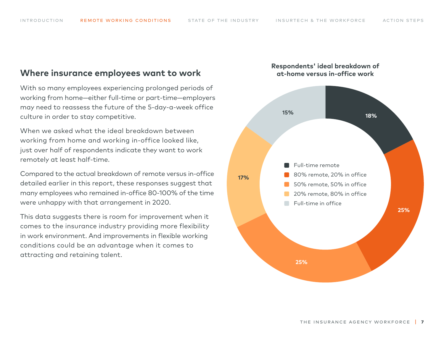### **Where insurance employees want to work**

With so many employees experiencing prolonged periods of working from home—either full-time or part-time—employers may need to reassess the future of the 5-day-a-week office culture in order to stay competitive.

When we asked what the ideal breakdown between working from home and working in-office looked like, just over half of respondents indicate they want to work remotely at least half-time.

Compared to the actual breakdown of remote versus in-office detailed earlier in this report, these responses suggest that many employees who remained in-office 80-100% of the time were unhappy with that arrangement in 2020.

This data suggests there is room for improvement when it comes to the insurance industry providing more flexibility in work environment. And improvements in flexible working conditions could be an advantage when it comes to attracting and retaining talent.



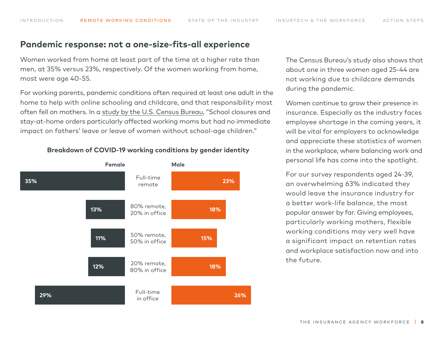### **Pandemic response: not a one-size-fits-all experience**

Women worked from home at least part of the time at a higher rate than men, at 35% versus 23%, respectively. Of the women working from home, most were age 40-55.

For working parents, pandemic conditions often required at least one adult in the home to help with online schooling and childcare, and that responsibility most often fell on mothers. In a [study by the U.S. Census Bureau,](https://www.census.gov/library/stories/2020/08/parents-juggle-work-and-child-care-during-pandemic.html) "School closures and stay-at-home orders particularly affected working moms but had no immediate impact on fathers' leave or leave of women without school-age children."

80% remote, 20% in office **13% 18%** Full-time remote Full-time in office 20% remote, 80% in office **12% 18%** 50% remote, 50% in office **11% 15% Female Male 35% 23% 29% 26%**

**Breakdown of COVID-19 working conditions by gender identity**

The Census Bureau's study also shows that about one in three women aged 25-44 are not working due to childcare demands during the pandemic.

Women continue to grow their presence in insurance. Especially as the industry faces employee shortage in the coming years, it will be vital for employers to acknowledge and appreciate these statistics of women in the workplace, where balancing work and personal life has come into the spotlight.

For our survey respondents aged 24-39, an overwhelming 63% indicated they would leave the insurance industry for a better work-life balance, the most popular answer by far. Giving employees, particularly working mothers, flexible working conditions may very well have a significant impact on retention rates and workplace satisfaction now and into the future.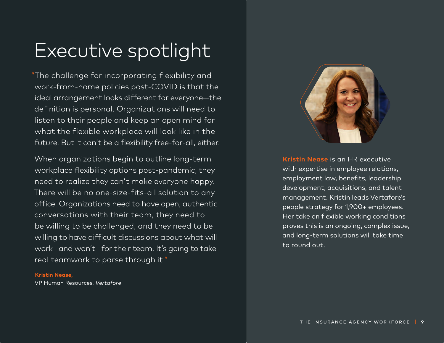## Executive spotlight

"The challenge for incorporating flexibility and work-from-home policies post-COVID is that the ideal arrangement looks different for everyone—the definition is personal. Organizations will need to listen to their people and keep an open mind for what the flexible workplace will look like in the future. But it can't be a flexibility free-for-all, either.

When organizations begin to outline long-term workplace flexibility options post-pandemic, they need to realize they can't make everyone happy. There will be no one-size-fits-all solution to any office. Organizations need to have open, authentic conversations with their team, they need to be willing to be challenged, and they need to be willing to have difficult discussions about what will work—and won't—for their team. It's going to take real teamwork to parse through it."

#### **Kristin Nease,**

VP Human Resources, *Vertafore*



**Kristin Nease** is an HR executive with expertise in employee relations, employment law, benefits, leadership development, acquisitions, and talent management. Kristin leads Vertafore's people strategy for 1,900+ employees. Her take on flexible working conditions proves this is an ongoing, complex issue, and long-term solutions will take time to round out.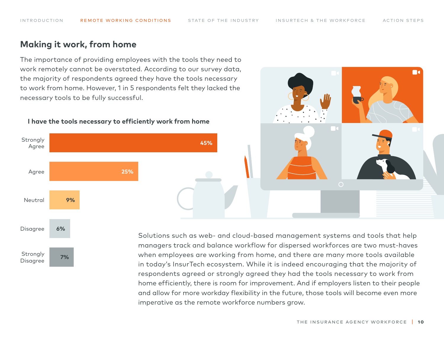### **Making it work, from home**

The importance of providing employees with the tools they need to work remotely cannot be overstated. According to our survey data, the majority of respondents agreed they have the tools necessary to work from home. However, 1 in 5 respondents felt they lacked the necessary tools to be fully successful.



#### **I have the tools necessary to efficiently work from home**



Solutions such as web- and cloud-based management systems and tools that help managers track and balance workflow for dispersed workforces are two must-haves when employees are working from home, and there are many more tools available in today's InsurTech ecosystem. While it is indeed encouraging that the majority of respondents agreed or strongly agreed they had the tools necessary to work from home efficiently, there is room for improvement. And if employers listen to their people and allow for more workday flexibility in the future, those tools will become even more imperative as the remote workforce numbers grow.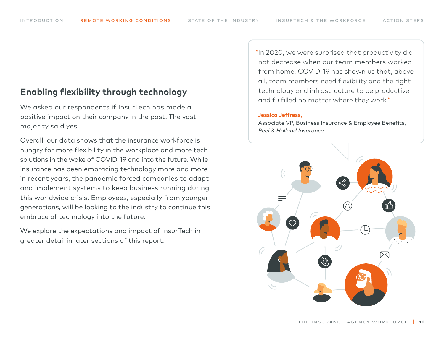## **Enabling flexibility through technology**

We asked our respondents if InsurTech has made a positive impact on their company in the past. The vast majority said yes.

Overall, our data shows that the insurance workforce is hungry for more flexibility in the workplace and more tech solutions in the wake of COVID-19 and into the future. While insurance has been embracing technology more and more in recent years, the pandemic forced companies to adapt and implement systems to keep business running during this worldwide crisis. Employees, especially from younger generations, will be looking to the industry to continue this embrace of technology into the future.

We explore the expectations and impact of InsurTech in greater detail in later sections of this report.

"In 2020, we were surprised that productivity did not decrease when our team members worked from home. COVID-19 has shown us that, above all, team members need flexibility and the right technology and infrastructure to be productive and fulfilled no matter where they work."

#### **Jessica Jeffress,**

Associate VP, Business Insurance & Employee Benefits, *Peel & Holland Insurance*

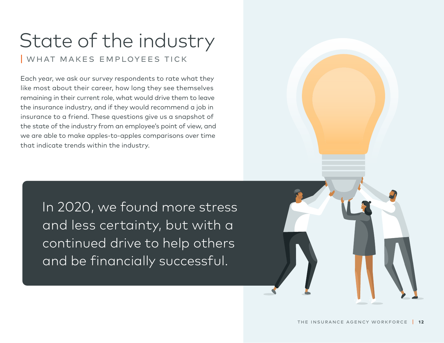## <span id="page-11-0"></span>State of the industry WHAT MAKES EMPLOYEES TICK

Each year, we ask our survey respondents to rate what they like most about their career, how long they see themselves remaining in their current role, what would drive them to leave the insurance industry, and if they would recommend a job in insurance to a friend. These questions give us a snapshot of the state of the industry from an employee's point of view, and we are able to make apples-to-apples comparisons over time that indicate trends within the industry.

> In 2020, we found more stress and less certainty, but with a continued drive to help others and be financially successful.

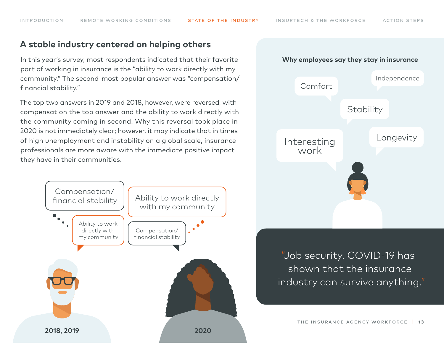## **A stable industry centered on helping others**

In this year's survey, most respondents indicated that their favorite part of working in insurance is the "ability to work directly with my community." The second-most popular answer was "compensation/ financial stability."

The top two answers in 2019 and 2018, however, were reversed, with compensation the top answer and the ability to work directly with the community coming in second. Why this reversal took place in 2020 is not immediately clear; however, it may indicate that in times of high unemployment and instability on a global scale, insurance professionals are more aware with the immediate positive impact they have in their communities.





"Job security. COVID-19 has shown that the insurance industry can survive anything."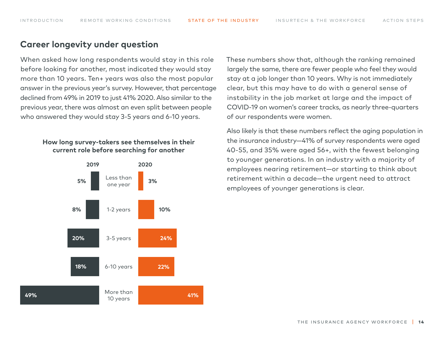### **Career longevity under question**

When asked how long respondents would stay in this role before looking for another, most indicated they would stay more than 10 years. Ten+ years was also the most popular answer in the previous year's survey. However, that percentage declined from 49% in 2019 to just 41% 2020. Also similar to the previous year, there was almost an even split between people who answered they would stay 3-5 years and 6-10 years.

#### **How long survey-takers see themselves in their current role before searching for another**



These numbers show that, although the ranking remained largely the same, there are fewer people who feel they would stay at a job longer than 10 years. Why is not immediately clear, but this may have to do with a general sense of instability in the job market at large and the impact of COVID-19 on women's career tracks, as nearly three-quarters of our respondents were women.

Also likely is that these numbers reflect the aging population in the insurance industry—41% of survey respondents were aged 40-55, and 35% were aged 56+, with the fewest belonging to younger generations. In an industry with a majority of employees nearing retirement—or starting to think about retirement within a decade—the urgent need to attract employees of younger generations is clear.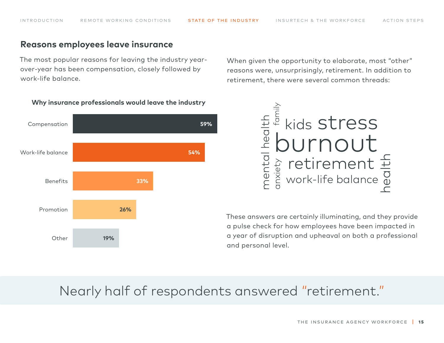### **Reasons employees leave insurance**

The most popular reasons for leaving the industry yearover-year has been compensation, closely followed by work-life balance.

When given the opportunity to elaborate, most "other" reasons were, unsurprisingly, retirement. In addition to retirement, there were several common threads:



#### **Why insurance professionals would leave the industry**



These answers are certainly illuminating, and they provide a pulse check for how employees have been impacted in a year of disruption and upheaval on both a professional and personal level.

## Nearly half of respondents answered "retirement."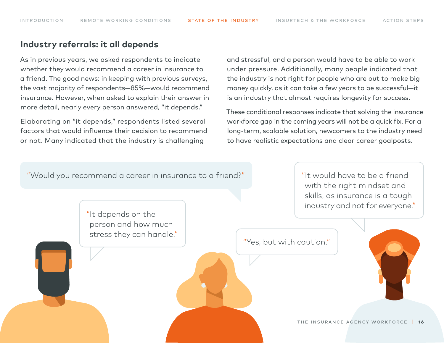## **Industry referrals: it all depends**

As in previous years, we asked respondents to indicate whether they would recommend a career in insurance to a friend. The good news: in keeping with previous surveys, the vast majority of respondents—85%—would recommend insurance. However, when asked to explain their answer in more detail, nearly every person answered, "it depends."

Elaborating on "it depends," respondents listed several factors that would influence their decision to recommend or not. Many indicated that the industry is challenging

and stressful, and a person would have to be able to work under pressure. Additionally, many people indicated that the industry is not right for people who are out to make big money quickly, as it can take a few years to be successful—it is an industry that almost requires longevity for success.

These conditional responses indicate that solving the insurance workforce gap in the coming years will not be a quick fix. For a long-term, scalable solution, newcomers to the industry need to have realistic expectations and clear career goalposts.

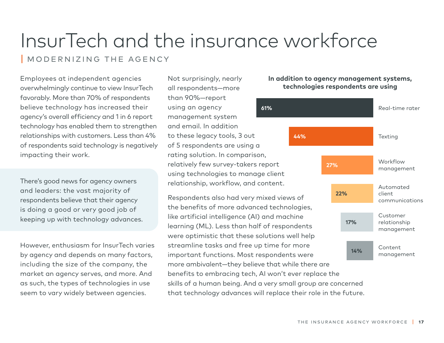# <span id="page-16-0"></span>InsurTech and the insurance workforce

| Modernizing the Agency

Employees at independent agencies overwhelmingly continue to view InsurTech favorably. More than 70% of respondents believe technology has increased their agency's overall efficiency and 1 in 6 report technology has enabled them to strengthen relationships with customers. Less than 4% of respondents said technology is negatively impacting their work.

There's good news for agency owners and leaders: the vast majority of respondents believe that their agency is doing a good or very good job of keeping up with technology advances.

However, enthusiasm for InsurTech varies by agency and depends on many factors, including the size of the company, the market an agency serves, and more. And as such, the types of technologies in use seem to vary widely between agencies.

**61%** Not surprisingly, nearly all respondents—more than 90%—report using an agency management system and email. In addition to these legacy tools, 3 out of 5 respondents are using a rating solution. In comparison, relatively few survey-takers report using technologies to manage client relationship, workflow, and content.

Respondents also had very mixed views of the benefits of more advanced technologies, like artificial intelligence (AI) and machine learning (ML). Less than half of respondents were optimistic that these solutions well help streamline tasks and free up time for more important functions. Most respondents were more ambivalent—they believe that while there are benefits to embracing tech, AI won't ever replace the skills of a human being. And a very small group are concerned that technology advances will replace their role in the future.



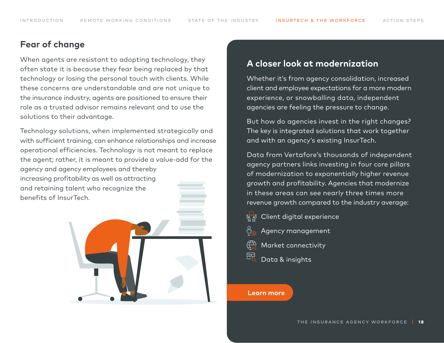## **Fear of change**

When agents are resistant to adopting technology, they often state it is because they fear being replaced by that technology or losing the personal touch with clients. While these concerns are understandable and are not unique to the insurance industry, agents are positioned to ensure their role as a trusted advisor remains relevant and to use the solutions to their advantage.

Technology solutions, when implemented strategically and with sufficient training, can enhance relationships and increase operational efficiencies. Technology is not meant to replace the agent; rather, it is meant to provide a value-add for the agency and agency employees and thereby

increasing profitability as well as attracting and retaining talent who recognize the benefits of InsurTech.



## **A closer look at modernization**

Whether it's from agency consolidation, increased client and employee expectations for a more modern experience, or snowballing data, independent agencies are feeling the pressure to change.

But how do agencies invest in the right changes? The key is integrated solutions that work together and with an agency's existing InsurTech.

Data from Vertafore's thousands of independent agency partners links investing in four core pillars of modernization to exponentially higher revenue growth and profitability. Agencies that modernize in these areas can see nearly three times more revenue growth compared to the industry average:

- Client digital experience
- Agency management
- Market connectivity
- 전 Data & insights

#### **[Learn more](http://vertafore.com/solutions/modernizing-agency)**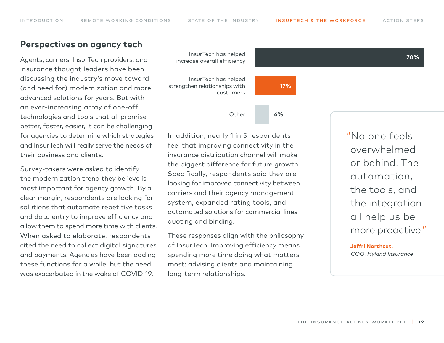### **Perspectives on agency tech**

Agents, carriers, InsurTech providers, and insurance thought leaders have been discussing the industry's move toward (and need for) modernization and more advanced solutions for years. But with an ever-increasing array of one-off technologies and tools that all promise better, faster, easier, it can be challenging for agencies to determine which strategies and InsurTech will really serve the needs of their business and clients.

Survey-takers were asked to identify the modernization trend they believe is most important for agency growth. By a clear margin, respondents are looking for solutions that automate repetitive tasks and data entry to improve efficiency and allow them to spend more time with clients. When asked to elaborate, respondents cited the need to collect digital signatures and payments. Agencies have been adding these functions for a while, but the need was exacerbated in the wake of COVID-19.



In addition, nearly 1 in 5 respondents feel that improving connectivity in the insurance distribution channel will make the biggest difference for future growth. Specifically, respondents said they are looking for improved connectivity between carriers and their agency management system, expanded rating tools, and automated solutions for commercial lines quoting and binding.

These responses align with the philosophy of InsurTech. Improving efficiency means spending more time doing what matters most: advising clients and maintaining long-term relationships.

"No one feels overwhelmed or behind. The automation, the tools, and the integration all help us be more proactive."

**Jeffri Northcut,**  COO, *Hyland Insurance*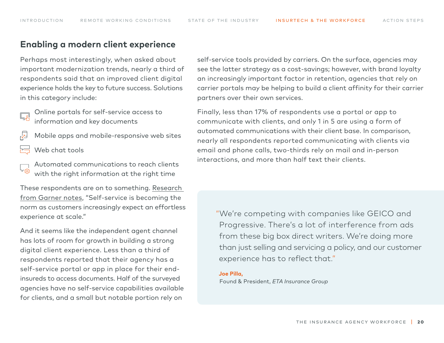#### **Enabling a modern client experience**

Perhaps most interestingly, when asked about important modernization trends, nearly a third of respondents said that an improved client digital experience holds the key to future success. Solutions in this category include:

Online portals for self-service access to information and key documents

- $\sqrt{2}$ Mobile apps and mobile-responsive web sites
- Web chat tools
- Automated communications to reach clients with the right information at the right time

These respondents are on to something. [Research](https://www.gartner.com/en/newsroom/press-releases/2019-05-28-gartner-says-the-future-of-self-service-is-customer-l#targetText=In%20fact%2C%2091%25%20of%20organizations,automatically%20by%20customer%2Downed%20bots.&targetText=The%20customer%20self%2Dservice%20of,both%20customers%20and%20their%20bots.%E2%80%9D)  [from Garner notes](https://www.gartner.com/en/newsroom/press-releases/2019-05-28-gartner-says-the-future-of-self-service-is-customer-l#targetText=In%20fact%2C%2091%25%20of%20organizations,automatically%20by%20customer%2Downed%20bots.&targetText=The%20customer%20self%2Dservice%20of,both%20customers%20and%20their%20bots.%E2%80%9D), "Self-service is becoming the norm as customers increasingly expect an effortless experience at scale."

And it seems like the independent agent channel has lots of room for growth in building a strong digital client experience. Less than a third of respondents reported that their agency has a self-service portal or app in place for their endinsureds to access documents. Half of the surveyed agencies have no self-service capabilities available for clients, and a small but notable portion rely on

self-service tools provided by carriers. On the surface, agencies may see the latter strategy as a cost-savings; however, with brand loyalty an increasingly important factor in retention, agencies that rely on carrier portals may be helping to build a client affinity for their carrier partners over their own services.

Finally, less than 17% of respondents use a portal or app to communicate with clients, and only 1 in 5 are using a form of automated communications with their client base. In comparison, nearly all respondents reported communicating with clients via email and phone calls, two-thirds rely on mail and in-person interactions, and more than half text their clients.

"We're competing with companies like GEICO and Progressive. There's a lot of interference from ads from these big box direct writers. We're doing more than just selling and servicing a policy, and our customer experience has to reflect that."

#### **Joe Pilla,**

Found & President, *ETA Insurance Group*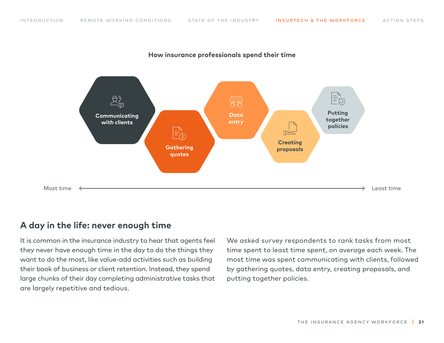

#### **How insurance professionals spend their time**

## **A day in the life: never enough time**

It is common in the insurance industry to hear that agents feel they never have enough time in the day to do the things they want to do the most, like value-add activities such as building their book of business or client retention. Instead, they spend large chunks of their day completing administrative tasks that are largely repetitive and tedious.

We asked survey respondents to rank tasks from most time spent to least time spent, on average each week. The most time was spent communicating with clients, followed by gathering quotes, data entry, creating proposals, and putting together policies.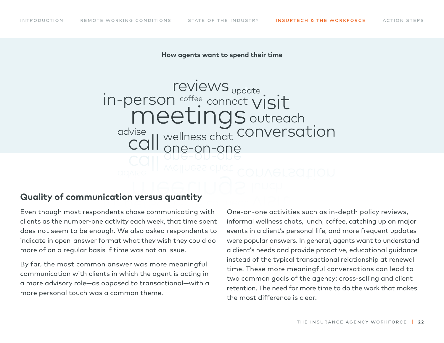#### **How agents want to spend their time**

Derson coffee connect visit **call** reviews in-person conversation outreach advise connect wellness chat update coffee one-on-one

## **Quality of communication versus quantity**

Even though most respondents chose communicating with clients as the number-one activity each week, that time spent does not seem to be enough. We also asked respondents to indicate in open-answer format what they wish they could do more of on a regular basis if time was not an issue.

By far, the most common answer was more meaningful communication with clients in which the agent is acting in a more advisory role—as opposed to transactional—with a more personal touch was a common theme.

One-on-one activities such as in-depth policy reviews, informal wellness chats, lunch, coffee, catching up on major events in a client's personal life, and more frequent updates were popular answers. In general, agents want to understand a client's needs and provide proactive, educational guidance instead of the typical transactional relationship at renewal time. These more meaningful conversations can lead to two common goals of the agency: cross-selling and client retention. The need for more time to do the work that makes the most difference is clear.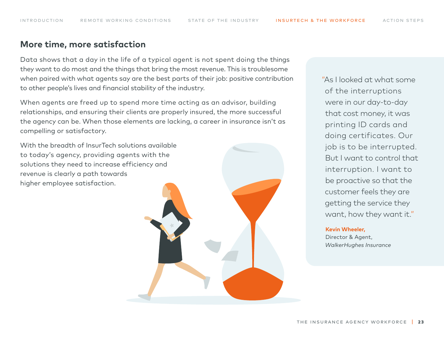#### **More time, more satisfaction**

Data shows that a day in the life of a typical agent is not spent doing the things they want to do most and the things that bring the most revenue. This is troublesome when paired with what agents say are the best parts of their job: positive contribution to other people's lives and financial stability of the industry.

When agents are freed up to spend more time acting as an advisor, building relationships, and ensuring their clients are properly insured, the more successful the agency can be. When those elements are lacking, a career in insurance isn't as compelling or satisfactory.

With the breadth of InsurTech solutions available to today's agency, providing agents with the solutions they need to increase efficiency and revenue is clearly a path towards higher employee satisfaction.

"As I looked at what some of the interruptions were in our day-to-day that cost money, it was printing ID cards and doing certificates. Our job is to be interrupted. But I want to control that interruption. I want to be proactive so that the customer feels they are getting the service they want, how they want it."

#### **Kevin Wheeler,**

Director & Agent, *WalkerHughes Insurance*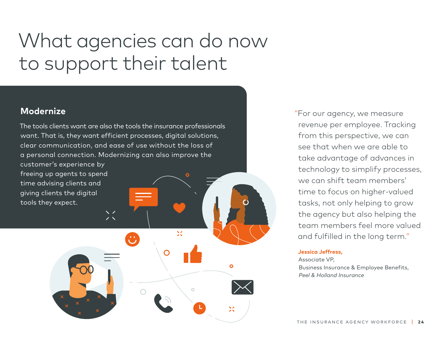## <span id="page-23-0"></span>What agencies can do now to support their talent

 $\mathbf{X}$ 

 $\circ$ 

 $\bullet$ 

## **Modernize**

The tools clients want are also the tools the insurance professionals want. That is, they want efficient processes, digital solutions, clear communication, and ease of use without the loss of a personal connection. Modernizing can also improve the

 $\checkmark$  /

 $\bigcup$ 

customer's experience by freeing up agents to spend time advising clients and giving clients the digital tools they expect.

"For our agency, we measure revenue per employee. Tracking from this perspective, we can see that when we are able to take advantage of advances in technology to simplify processes, we can shift team members' time to focus on higher-valued tasks, not only helping to grow the agency but also helping the team members feel more valued and fulfilled in the long term."

#### **Jessica Jeffress,**

Associate VP, Business Insurance & Employee Benefits, *Peel & Holland Insurance*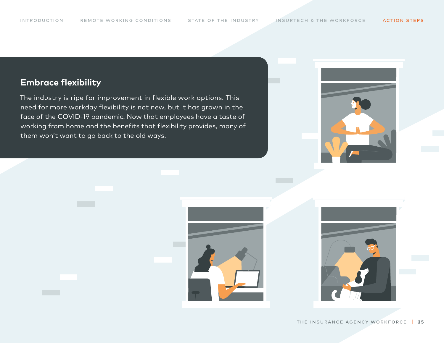## **Embrace flexibility**

The industry is ripe for improvement in flexible work options. This need for more workday flexibility is not new, but it has grown in the face of the COVID-19 pandemic. Now that employees have a taste of working from home and the benefits that flexibility provides, many of them won't want to go back to the old ways.





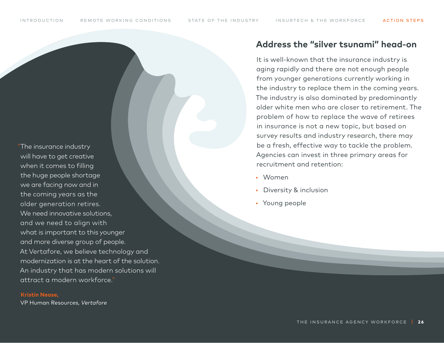"The insurance industry will have to get creative when it comes to filling the huge people shortage we are facing now and in the coming years as the older generation retires. We need innovative solutions. and we need to align with what is important to this younger and more diverse group of people. At Vertafore, we believe technology and modernization is at the heart of the solution. An industry that has modern solutions will attract a modern workforce."

#### **Kristin Nease,**

VP Human Resources, *Vertafore*

## **Address the "silver tsunami" head-on**

It is well-known that the insurance industry is aging rapidly and there are not enough people from younger generations currently working in the industry to replace them in the coming years. The industry is also dominated by predominantly older white men who are closer to retirement. The problem of how to replace the wave of retirees in insurance is not a new topic, but based on survey results and industry research, there may be a fresh, effective way to tackle the problem. Agencies can invest in three primary areas for recruitment and retention:

- Women
- Diversity & inclusion
- Young people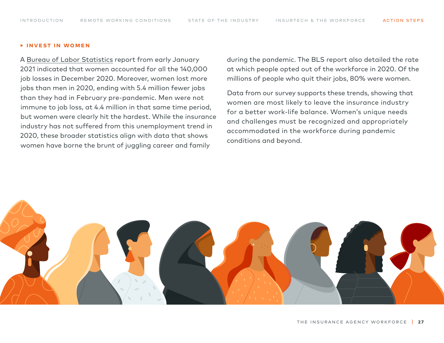#### **‣ Invest in women**

A [Bureau of Labor Statistics](https://www.bls.gov/news.release/empsit.nr0.htm) report from early January 2021 indicated that women accounted for all the 140,000 job losses in December 2020. Moreover, women lost more jobs than men in 2020, ending with 5.4 million fewer jobs than they had in February pre-pandemic. Men were not immune to job loss, at 4.4 million in that same time period, but women were clearly hit the hardest. While the insurance industry has not suffered from this unemployment trend in 2020, these broader statistics align with data that shows women have borne the brunt of juggling career and family

during the pandemic. The BLS report also detailed the rate at which people opted out of the workforce in 2020. Of the millions of people who quit their jobs, 80% were women.

Data from our survey supports these trends, showing that women are most likely to leave the insurance industry for a better work-life balance. Women's unique needs and challenges must be recognized and appropriately accommodated in the workforce during pandemic conditions and beyond.

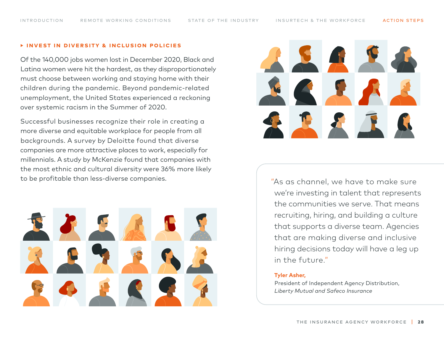#### **‣ Invest in Diversity & Inclusion policies**

Of the 140,000 jobs women lost in December 2020, Black and Latina women were hit the hardest, as they disproportionately must choose between working and staying home with their children during the pandemic. Beyond pandemic-related unemployment, the United States experienced a reckoning over systemic racism in the Summer of 2020.

Successful businesses recognize their role in creating a more diverse and equitable workplace for people from all backgrounds. A survey by Deloitte found that diverse companies are more attractive places to work, especially for millennials. A study by McKenzie found that companies with the most ethnic and cultural diversity were 36% more likely to be profitable than less-diverse companies. "As as channel, we have to make sure





we're investing in talent that represents the communities we serve. That means recruiting, hiring, and building a culture that supports a diverse team. Agencies that are making diverse and inclusive hiring decisions today will have a leg up in the future."

#### **Tyler Asher,**

President of Independent Agency Distribution, *Liberty Mutual and Safeco Insurance*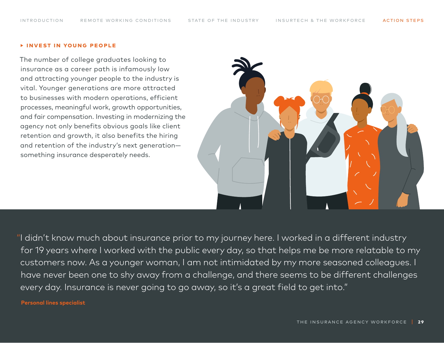#### **‣ Invest in young people**

The number of college graduates looking to insurance as a career path is infamously low and attracting younger people to the industry is vital. Younger generations are more attracted to businesses with modern operations, efficient processes, meaningful work, growth opportunities, and fair compensation. Investing in modernizing the agency not only benefits obvious goals like client retention and growth, it also benefits the hiring and retention of the industry's next generation something insurance desperately needs.



"I didn't know much about insurance prior to my journey here. I worked in a different industry for 19 years where I worked with the public every day, so that helps me be more relatable to my customers now. As a younger woman, I am not intimidated by my more seasoned colleagues. I have never been one to shy away from a challenge, and there seems to be different challenges every day. Insurance is never going to go away, so it's a great field to get into."

#### **Personal lines specialist**